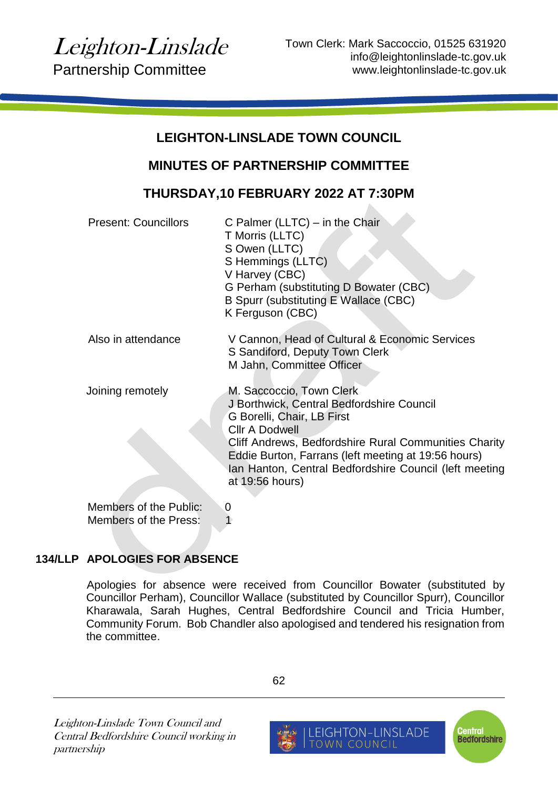$\blacktriangle$ 

# **LEIGHTON-LINSLADE TOWN COUNCIL**

## **MINUTES OF PARTNERSHIP COMMITTEE**

## **THURSDAY,10 FEBRUARY 2022 AT 7:30PM**

| <b>Present: Councillors</b>                     | C Palmer (LLTC) $-$ in the Chair<br>T Morris (LLTC)<br>S Owen (LLTC)<br>S Hemmings (LLTC)<br>V Harvey (CBC)<br>G Perham (substituting D Bowater (CBC)<br>B Spurr (substituting E Wallace (CBC)<br>K Ferguson (CBC)                                                                                                        |
|-------------------------------------------------|---------------------------------------------------------------------------------------------------------------------------------------------------------------------------------------------------------------------------------------------------------------------------------------------------------------------------|
| Also in attendance                              | V Cannon, Head of Cultural & Economic Services<br>S Sandiford, Deputy Town Clerk<br>M Jahn, Committee Officer                                                                                                                                                                                                             |
| Joining remotely                                | M. Saccoccio, Town Clerk<br>J Borthwick, Central Bedfordshire Council<br>G Borelli, Chair, LB First<br><b>Cllr A Dodwell</b><br>Cliff Andrews, Bedfordshire Rural Communities Charity<br>Eddie Burton, Farrans (left meeting at 19:56 hours)<br>Ian Hanton, Central Bedfordshire Council (left meeting<br>at 19:56 hours) |
| Members of the Public:<br>Members of the Press: | $\overline{0}$                                                                                                                                                                                                                                                                                                            |

## **134/LLP APOLOGIES FOR ABSENCE**

Apologies for absence were received from Councillor Bowater (substituted by Councillor Perham), Councillor Wallace (substituted by Councillor Spurr), Councillor Kharawala, Sarah Hughes, Central Bedfordshire Council and Tricia Humber, Community Forum. Bob Chandler also apologised and tendered his resignation from the committee.

Leighton-Linslade Town Council and Central Bedfordshire Council working in partnership

62

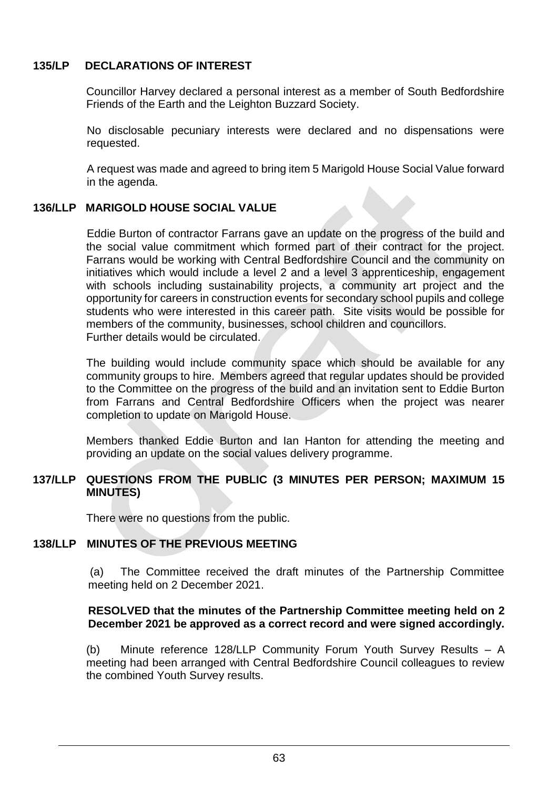### **135/LP DECLARATIONS OF INTEREST**

Councillor Harvey declared a personal interest as a member of South Bedfordshire Friends of the Earth and the Leighton Buzzard Society.

No disclosable pecuniary interests were declared and no dispensations were requested.

A request was made and agreed to bring item 5 Marigold House Social Value forward in the agenda.

## **136/LLP MARIGOLD HOUSE SOCIAL VALUE**

Eddie Burton of contractor Farrans gave an update on the progress of the build and the social value commitment which formed part of their contract for the project. Farrans would be working with Central Bedfordshire Council and the community on initiatives which would include a level 2 and a level 3 apprenticeship, engagement with schools including sustainability projects, a community art project and the opportunity for careers in construction events for secondary school pupils and college students who were interested in this career path. Site visits would be possible for members of the community, businesses, school children and councillors. Further details would be circulated.

The building would include community space which should be available for any community groups to hire. Members agreed that regular updates should be provided to the Committee on the progress of the build and an invitation sent to Eddie Burton from Farrans and Central Bedfordshire Officers when the project was nearer completion to update on Marigold House.

Members thanked Eddie Burton and Ian Hanton for attending the meeting and providing an update on the social values delivery programme.

#### **137/LLP QUESTIONS FROM THE PUBLIC (3 MINUTES PER PERSON; MAXIMUM 15 MINUTES)**

There were no questions from the public.

## **138/LLP MINUTES OF THE PREVIOUS MEETING**

(a) The Committee received the draft minutes of the Partnership Committee meeting held on 2 December 2021.

#### **RESOLVED that the minutes of the Partnership Committee meeting held on 2 December 2021 be approved as a correct record and were signed accordingly.**

(b) Minute reference 128/LLP Community Forum Youth Survey Results – A meeting had been arranged with Central Bedfordshire Council colleagues to review the combined Youth Survey results.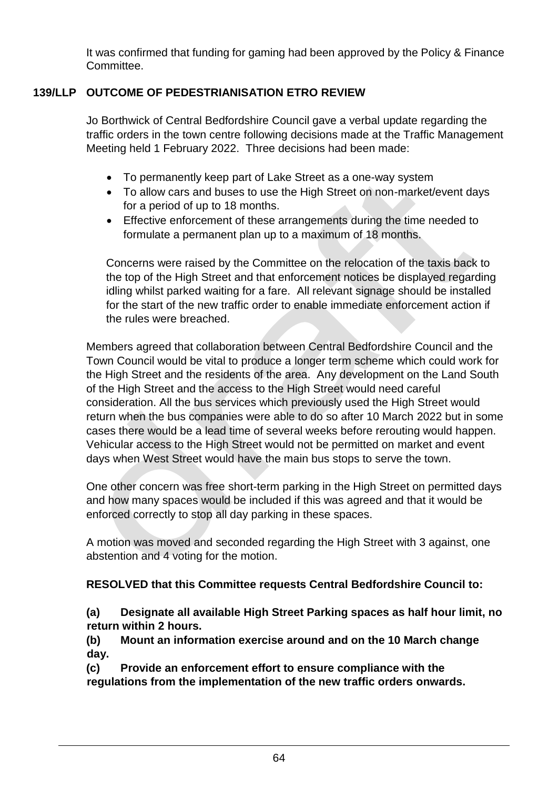It was confirmed that funding for gaming had been approved by the Policy & Finance Committee.

## **139/LLP OUTCOME OF PEDESTRIANISATION ETRO REVIEW**

Jo Borthwick of Central Bedfordshire Council gave a verbal update regarding the traffic orders in the town centre following decisions made at the Traffic Management Meeting held 1 February 2022. Three decisions had been made:

- To permanently keep part of Lake Street as a one-way system
- To allow cars and buses to use the High Street on non-market/event days for a period of up to 18 months.
- Effective enforcement of these arrangements during the time needed to formulate a permanent plan up to a maximum of 18 months.

Concerns were raised by the Committee on the relocation of the taxis back to the top of the High Street and that enforcement notices be displayed regarding idling whilst parked waiting for a fare. All relevant signage should be installed for the start of the new traffic order to enable immediate enforcement action if the rules were breached.

Members agreed that collaboration between Central Bedfordshire Council and the Town Council would be vital to produce a longer term scheme which could work for the High Street and the residents of the area. Any development on the Land South of the High Street and the access to the High Street would need careful consideration. All the bus services which previously used the High Street would return when the bus companies were able to do so after 10 March 2022 but in some cases there would be a lead time of several weeks before rerouting would happen. Vehicular access to the High Street would not be permitted on market and event days when West Street would have the main bus stops to serve the town.

One other concern was free short-term parking in the High Street on permitted days and how many spaces would be included if this was agreed and that it would be enforced correctly to stop all day parking in these spaces.

A motion was moved and seconded regarding the High Street with 3 against, one abstention and 4 voting for the motion.

## **RESOLVED that this Committee requests Central Bedfordshire Council to:**

**(a) Designate all available High Street Parking spaces as half hour limit, no return within 2 hours.**

**(b) Mount an information exercise around and on the 10 March change day.**

**(c) Provide an enforcement effort to ensure compliance with the regulations from the implementation of the new traffic orders onwards.**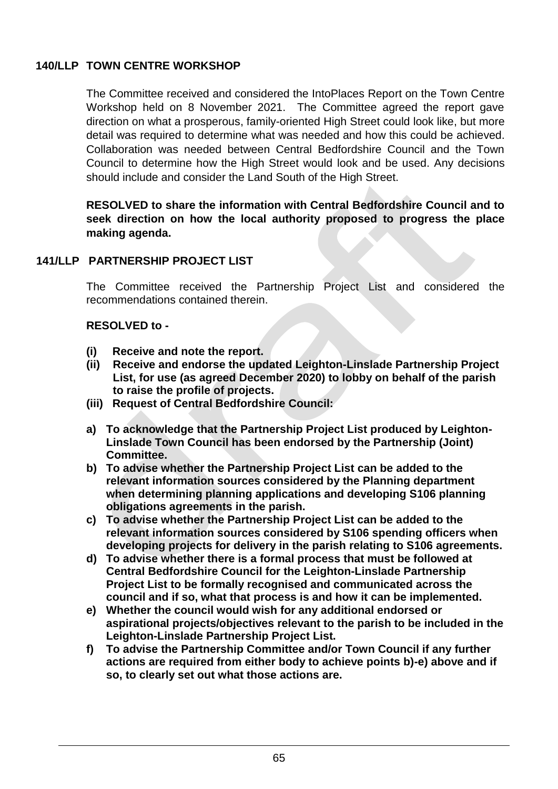## **140/LLP TOWN CENTRE WORKSHOP**

The Committee received and considered the IntoPlaces Report on the Town Centre Workshop held on 8 November 2021. The Committee agreed the report gave direction on what a prosperous, family-oriented High Street could look like, but more detail was required to determine what was needed and how this could be achieved. Collaboration was needed between Central Bedfordshire Council and the Town Council to determine how the High Street would look and be used. Any decisions should include and consider the Land South of the High Street.

**RESOLVED to share the information with Central Bedfordshire Council and to seek direction on how the local authority proposed to progress the place making agenda.**

### **141/LLP PARTNERSHIP PROJECT LIST**

The Committee received the Partnership Project List and considered the recommendations contained therein.

#### **RESOLVED to -**

- **(i) Receive and note the report.**
- **(ii) Receive and endorse the updated Leighton-Linslade Partnership Project List, for use (as agreed December 2020) to lobby on behalf of the parish to raise the profile of projects.**
- **(iii) Request of Central Bedfordshire Council:**
- **a) To acknowledge that the Partnership Project List produced by Leighton-Linslade Town Council has been endorsed by the Partnership (Joint) Committee.**
- **b) To advise whether the Partnership Project List can be added to the relevant information sources considered by the Planning department when determining planning applications and developing S106 planning obligations agreements in the parish.**
- **c) To advise whether the Partnership Project List can be added to the relevant information sources considered by S106 spending officers when developing projects for delivery in the parish relating to S106 agreements.**
- **d) To advise whether there is a formal process that must be followed at Central Bedfordshire Council for the Leighton-Linslade Partnership Project List to be formally recognised and communicated across the council and if so, what that process is and how it can be implemented.**
- **e) Whether the council would wish for any additional endorsed or aspirational projects/objectives relevant to the parish to be included in the Leighton-Linslade Partnership Project List.**
- **f) To advise the Partnership Committee and/or Town Council if any further actions are required from either body to achieve points b)-e) above and if so, to clearly set out what those actions are.**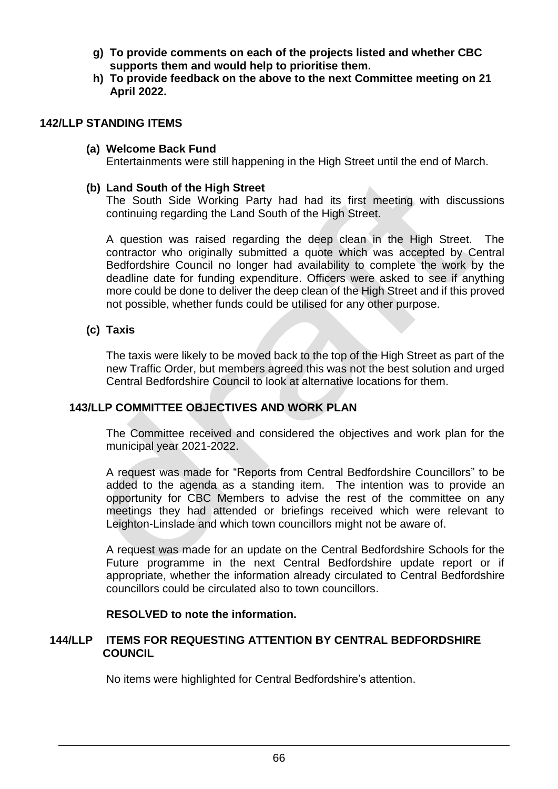- **g) To provide comments on each of the projects listed and whether CBC supports them and would help to prioritise them.**
- **h) To provide feedback on the above to the next Committee meeting on 21 April 2022.**

#### **142/LLP STANDING ITEMS**

#### **(a) Welcome Back Fund**

Entertainments were still happening in the High Street until the end of March.

#### **(b) Land South of the High Street**

The South Side Working Party had had its first meeting with discussions continuing regarding the Land South of the High Street.

A question was raised regarding the deep clean in the High Street. The contractor who originally submitted a quote which was accepted by Central Bedfordshire Council no longer had availability to complete the work by the deadline date for funding expenditure. Officers were asked to see if anything more could be done to deliver the deep clean of the High Street and if this proved not possible, whether funds could be utilised for any other purpose.

#### **(c) Taxis**

The taxis were likely to be moved back to the top of the High Street as part of the new Traffic Order, but members agreed this was not the best solution and urged Central Bedfordshire Council to look at alternative locations for them.

### **143/LLP COMMITTEE OBJECTIVES AND WORK PLAN**

The Committee received and considered the objectives and work plan for the municipal year 2021-2022.

A request was made for "Reports from Central Bedfordshire Councillors" to be added to the agenda as a standing item. The intention was to provide an opportunity for CBC Members to advise the rest of the committee on any meetings they had attended or briefings received which were relevant to Leighton-Linslade and which town councillors might not be aware of.

A request was made for an update on the Central Bedfordshire Schools for the Future programme in the next Central Bedfordshire update report or if appropriate, whether the information already circulated to Central Bedfordshire councillors could be circulated also to town councillors.

#### **RESOLVED to note the information.**

#### **144/LLP ITEMS FOR REQUESTING ATTENTION BY CENTRAL BEDFORDSHIRE COUNCIL**

No items were highlighted for Central Bedfordshire's attention.